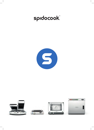## spidocook



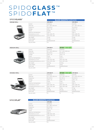# SPIDOGLASS™<br>SPIDO**FLAT**™

#### SPIDO**GLASS**™

 $SINGLE$ **GRILL** 

|                                  | <b>BLACK SMOOTH SURFACES</b> |                  |
|----------------------------------|------------------------------|------------------|
|                                  | <b>SP 010 P</b>              | <b>SP 010 E</b>  |
| Control                          | <b>MANUAL</b>                | <b>DIGITAL</b>   |
| Plate size                       | N°1 250 x 250 mm             | N° 1250 x 250 mm |
| Frequency                        | $50/60$ Hz                   | $50/60$ Hz       |
| Voltage                          | 230 V~1N                     | 230 V~1N         |
| Power                            | 1.5 kW                       | 1.5 kW           |
| Maximum temperature              | 400 °C                       | 350 °C           |
| Dimensions $w \times d \times h$ | 331 x 458 x 176              | 331 x 458 x 176  |
| Packaging dimensions w x d x h   | 373 x 535 x 265              | 373 x 535 x 265  |
| Net weight                       | 10 Kg                        | 10 Kg            |
| Gross weight                     | 11,1 Kg                      | 11,1 Kg          |
| <b>EAN Code</b>                  | 8029212015499                | 8029212015451    |
| Oty per pallet                   | 24                           | 24               |

#### **MEDIUM GRILL**



|                                | <b>SP 015 P</b> | <b>SP 015</b><br>$ECO$ $(2)$ |
|--------------------------------|-----------------|------------------------------|
| Control                        | <b>MANUAL</b>   | <b>MANUAL</b>                |
| Plate size                     | N°1400 x 300 mm | N°1400 x 300 mm              |
| Frequency                      | $50/60$ Hz      | $50/60$ Hz                   |
| Voltage                        | 230 V~1N        | 230 V~1N                     |
| Power                          | 3 kW            | $2$ kW                       |
| Maximum temperature            | 400 °C          | 400 °C                       |
| $Dimensions$ w $x$ d $x$ h     | 481 x 457 x 182 | 481 x 457 x 182              |
| Packaging dimensions w x d x h | 540 x 527 x 254 | 540 x 527 x 254              |
| Net weight                     | 14,9 Kg         | 14,9 Kg                      |
| Gross weight                   | 16 Kg           | 16 Kg                        |
| EAN Code                       | 8029212016472   | 8029212016465                |
| Qty per pallet                 | 12              | 12                           |

#### **DOUBLE GRILL**



|                                  | SP 020 P          | $ECO$ $(2)$<br><b>SP 020</b> | <b>SP 020 E</b>   |
|----------------------------------|-------------------|------------------------------|-------------------|
| Control                          | <b>MANUAL</b>     | MANUAL                       | <b>DIGITAL</b>    |
| Plate size                       | N° 2 250 x 250 mm | N° 2 250 x 250 mm            | Nº 2 250 x 250 mm |
| Frequency                        | 50/60 Hz          | 50/60 Hz                     | 50/60 Hz          |
| Voltage                          | 230 V~1N          | 230 V~ 1N                    | 230 V~ 1N         |
| Power                            | 3 kW              | 2 kW                         | 3 kW              |
| Maximum temperature              | 400 °C            | 400 °C                       | 350 °C            |
| Dimensions $w \times d \times h$ | 619 x 458 x 176   | 619 x 458 x 176              | 619 x 458 x 176   |
| Packaging dimensions w x d x h   | 665 x 535 x 265   | 665 x 535 x 265              | 665 x 535 x 265   |
| Net weight                       | 17 Kg             | 17 Kg                        | 17 Kg             |
| Gross weight                     | 19.4 Kg           | 19,4 Kg                      | 19,4 Kg           |
| <b>EAN Code</b>                  | 8029212015581     | 8029212015543                | 8029212015550     |
| Qty per pallet                   | 12                | $12^{12}$                    | 12                |

#### **SPIDOFLAT<sup>™</sup>**



| <b>BLACK SMOOTH SURFACES</b>   |                   |  |
|--------------------------------|-------------------|--|
|                                | <b>SP 200</b>     |  |
| Control                        | <b>MANUAL</b>     |  |
| Plate size                     | N° 1 280 x 440 mm |  |
| Frequency                      | $50/60$ Hz        |  |
| Voltage                        | 230 V~ 1N         |  |
| Power                          | 2.5 kW            |  |
| Maximum temperature            | 400 °C            |  |
| Dimensions w x d x h           | 398 x 654 x 128   |  |
| Packaging dimensions w x d x h | 450 x 700 x 170   |  |
| Net weight                     | 10 Kg             |  |
| Gross weight                   | 12 Kg             |  |
| <b>EAN Code</b>                | 8029212015697     |  |
| Qty per pallet                 | 16                |  |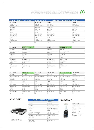

The ECO versions are custom designed to reduce the installed power (2kW instead of 3kW) and<br>to offer further energy savings in their use, maintaining the performance characteristics. They are<br>.particularly suitable even fo

| <b>BLACK</b> SURFACES, TOP RIBBED, LOWER SMOOTH |                  | <b>TRANSPARENT SMOOTH SURFACES</b> |                  |
|-------------------------------------------------|------------------|------------------------------------|------------------|
| <b>SP 010 PR</b>                                | <b>SP 010 ER</b> | <b>SP 010 PT</b>                   | <b>SP 010 ET</b> |
| <b>MANUAL</b>                                   | <b>DIGITAL</b>   | <b>MANUAL</b>                      | <b>DIGITAL</b>   |
| Nº 1 250 x 250 mm                               | N°1 250 x 250 mm | N°1 250 x250 mm                    | N°1 250 x250 mm  |
| $50/60$ Hz                                      | 50/60 Hz         | 50/60 Hz                           | $50/60$ Hz       |
| 230 V~ 1N                                       | 230 V~M          | 230 V~ 1N                          | 230 V~ 1N        |
| 1.5 kW                                          | $1.5$ kW         | 1,5 kW                             | $1.5$ kW         |
| 400 °C                                          | 350 °C           | 400 °C                             | 350 °C           |
| 331 x 458 x 176                                 | 331 x 458 x 176  | 331 x 458 x 176                    | 331 x 458 x 176  |
| 373 x 535 x 265                                 | 373 x 535 x 265  | 373 x 535 x 265                    | 373 x 535 x 265  |
| 10 Kg                                           | 10 Kg            | 10 Kg                              | 10 Kg            |
| 11,1 Kg                                         | 11,1 Kg          | 11,1 Kg                            | 11,1 Kg          |
| 8029212015505                                   | 8029212015468    | 8029212015536                      | 8029212015482    |
| 24                                              | 24               | 24                                 | 24               |

| SP 015 PR     | SP 015 R $ECO$  | <b>SP 015 PT</b> | ECO(2)<br><b>SP 015 T</b> |
|---------------|-----------------|------------------|---------------------------|
| MANUAL        | <b>MANUAL</b>   | <b>MANUAL</b>    | <b>MANUAL</b>             |
| N°1400x300 mm | N°1400 x300 mm  | N°1400 x 300 mm  | N°1400x300 mm             |
| $50/60$ Hz    | $50/60$ Hz      | $50/60$ Hz       | $50/60$ Hz                |
| 230 V~ 1N     | 230 V~ 1N       | 230 V~1N         | 230 V~1N                  |
| 3 kW          | 2 kW            | 3 kW             | 2 kW                      |
| 400 °C        | 400 °C          | 400 °C           | 400 °C                    |
| 481x457x182   | 481 x 457 x 182 | 481 x 457 x 182  | 481 x 457 x 182           |
| 540x527x254   | 540 x 527 x 254 | 540 x 527 x 254  | 540 x 527 x 254           |
| 14,9 Kg       | 14,9 Kg         | 14,9 Kg          | 14,9 Kg                   |
| 16 Kg         | 16 Kg           | 16 Kg            | 16 Kg                     |
| 8029212016489 | 8029212016502   | 8029212016496    | 8029212016519             |
| 12            | 12              | 12               | 12                        |

| <b>SP 020 PR</b>  | SP 020 R ECO $(2)$ | <b>SP 020 ER</b>  | <b>SP 020 PT</b>  | <b>SP 020 T</b> ECO (2) | <b>SP 020 ET</b> |
|-------------------|--------------------|-------------------|-------------------|-------------------------|------------------|
| MANUAL            | <b>MANUAL</b>      | <b>DIGITAL</b>    | <b>MANUAL</b>     | <b>MANUAL</b>           | <b>DIGITAL</b>   |
| N° 2 250 x 250 mm | Nº 2 250 x 250 mm  | N° 2 250 x 250 mm | N° 2 250 x 250 mm | Nº 2 250 x 250 mm       | Nº 2 250 x250 mm |
| $50/60$ Hz        | $50/60$ Hz         | $50/60$ Hz        | 50/60 Hz          | 50/60 Hz                | 50/60 Hz         |
| 230V~M            | $230V~V$ M         | 230V~M            | 230 V~1N          | 230V~M                  | 230V~M           |
| 3 kW              | 2 kW               | 3 kW              | 3 kW              | 2 kW                    | 3 kW             |
| 400 °C            | 400 °C             | 350 °C            | $400^{\circ}$ C   | $400^{\circ}$ C         | 350 °C           |
| 619x458x176       | 619 x 458 x 176    | 619 x 458 x 176   | 619 x 458 x 176   | 619 x 458 x 176         | 619 x 458 x 176  |
| 665x535x265       | 665 x 535 x 265    | 665 x 535 x 265   | 665 x 535 x 265   | 665 x 535 x 265         | 665 x 535 x 265  |
| 17 Kg             | 17 Kg              | 17 Kg             | 17 Kg             | 17 Kg                   | 17 Kg            |
| 19,4 Kg           | 19,4 Kg            | 19.4 Kg           | 19,4 Kg           | 19,4 Kg                 | 19,4 Kg          |
| 8029212015604     | 8029212015642      | 8029212015567     | 8029212015635     | 8029212015659           | 8029212015574    |
| 12                | 12                 | 12                | 12                | 12                      | 12               |

#### SPIDO**FLAT**™



\*Product sold without cable and power plug

| <b>BLACK SMOOTH SURFACES</b>   |                      |  |
|--------------------------------|----------------------|--|
|                                | SP 300*              |  |
| Control                        | <b>MANUAL</b>        |  |
| Plate size                     | N° 2 280 x 440 mm    |  |
| Frequency                      | $50/60$ Hz           |  |
| Voltage                        | 230 V~ 1N /400 V~ 3N |  |
| Power                          | 5 kW                 |  |
| Maximum temperature            | 400 °C               |  |
| Dimensions w x d x h           | 693 x 654 x 129      |  |
| Packaging dimensions w x d x h | 710 x 760 x 170      |  |
| Net weight                     | 17 Kg                |  |
| Gross weight                   | 18,4 Ka              |  |
| <b>FAN Code</b>                | 8029212015703        |  |
| Qty per pallet                 | 18                   |  |

#### **SpidoClean™**



| DB1046A0                  |                  |  |
|---------------------------|------------------|--|
| Spray detergent           |                  |  |
| Qty<br>per code           | 1 <sub>hox</sub> |  |
| <b>Bottles</b><br>per box | 12               |  |
| Qty<br>per bottle         | 750 ml           |  |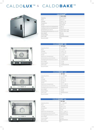## CALDOLUX™ & CALDOBAKE™



| CALDOLUX™                            |                 |  |
|--------------------------------------|-----------------|--|
|                                      | <b>SCH 030</b>  |  |
| Capacity                             | $N.°3$ GN 1/1   |  |
| Pitch                                | 67 mm           |  |
| Voltage                              | $230 V \sim 1N$ |  |
| Frequency                            | $50/60$ Hz      |  |
| Power                                | 0.76 kW         |  |
| Cooking maximum temperature          | 120 °C          |  |
| Holding maximum temperature          | 100 °C          |  |
| Dimensions ( $w \times d \times h$ ) | 436 x 645 x 409 |  |
| Packaging dimensions (w x d x h)     | 530 x 720 x 480 |  |
| Net weight                           | 21 Kg           |  |
| Gross weight                         | 23 Kg           |  |
| <b>EAN Code</b>                      | 8029212015826   |  |
| Oty per pallet                       | 8               |  |







| CALDOBAKE <sup>™</sup> S3      |                |  |
|--------------------------------|----------------|--|
|                                | <b>SF 003</b>  |  |
| Capacity (mm)                  | 3 - 342x242    |  |
| Pitch                          | 70 mm          |  |
| Voltage                        | 230 V~ 1N      |  |
| Frequency                      | $50/60$ Hz     |  |
| Power                          | 2.7 kW         |  |
| Maximum temperature            | 30 °C - 260 °C |  |
| Dimensions w x d x h (mm)      | 480x523x402    |  |
| Packaging dimensions w x d x h | 610x520x418    |  |
| Net weight                     | 16 Kg          |  |
| Gross weight                   | 19 Kg          |  |
| <b>EAN Code</b>                | 8029212016106  |  |
| Oty per pallet                 | 10             |  |

| CALDOBAKE <sup>™</sup> L3      |                |  |
|--------------------------------|----------------|--|
|                                | <b>SF 013</b>  |  |
| Capacity (mm)                  | 3 - 460x330    |  |
| Pitch                          | 70 mm          |  |
| Voltage                        | 230 V~ 1N      |  |
| Frequency                      | $50/60$ Hz     |  |
| Power                          | 2,7 kW         |  |
| Maximum temperature            | 30 °C - 260 °C |  |
| Dimensions w x d x h (mm)      | 600x587x402    |  |
| Packaging dimensions w x d x h | 668x640x418    |  |
| Net weight                     | 20 Kg          |  |
| Gross weight                   | 23 Kg          |  |
| <b>EAN Code</b>                | 8029212016113  |  |
| Qty per pallet                 | 8              |  |

| <b>CALDOBAKE™ L4</b>           |                |  |
|--------------------------------|----------------|--|
|                                | <b>SF 023</b>  |  |
| Capacity (mm)                  | 4 - 460x330    |  |
| Pitch                          | 75 mm          |  |
| Voltage                        | 230 V~ 1N      |  |
| Frequency                      | $50/60$ Hz     |  |
| Power                          | 3 kW           |  |
| Maximum temperature            | 30 °C - 260 °C |  |
| Dimensions w x d x h (mm)      | 600x587x472    |  |
| Packaging dimensions w x d x h | 668x640x488    |  |
| Net weight                     | 22 Kg          |  |
| Gross weight                   | 25 Kg          |  |
| <b>EAN Code</b>                | 8029212016120  |  |
| Qty per pallet                 | 8              |  |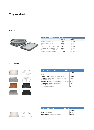### **Trays and grids**

#### CALDO**LUX**™



| <b>CALDOLUX ORIGINAL TRAYS</b>         |               |          |  |
|----------------------------------------|---------------|----------|--|
|                                        | Model         | Height   |  |
| Stainless steel GN 1/1 tray            | <b>TG 805</b> | $h20$ mm |  |
| Stainless steel GN 1/1 tray            | <b>TG 815</b> | h 40 mm  |  |
| Stainless steel GN 1/1 tray            | <b>TG 825</b> | $h65$ mm |  |
| Perforated stainless steel GN 1/1 tray | <b>TG 810</b> | $h20$ mm |  |
| Perforated stainless steel GN 1/1 tray | <b>TG 820</b> | h 40 mm  |  |
| Perforated stainless steel GN 1/1 tray | <b>TG 830</b> | h 65 mm  |  |
| Stainless steel GN 1/1 flat grids      | GRP 806       | h 40 mm  |  |

#### CALDO**BAKE**™